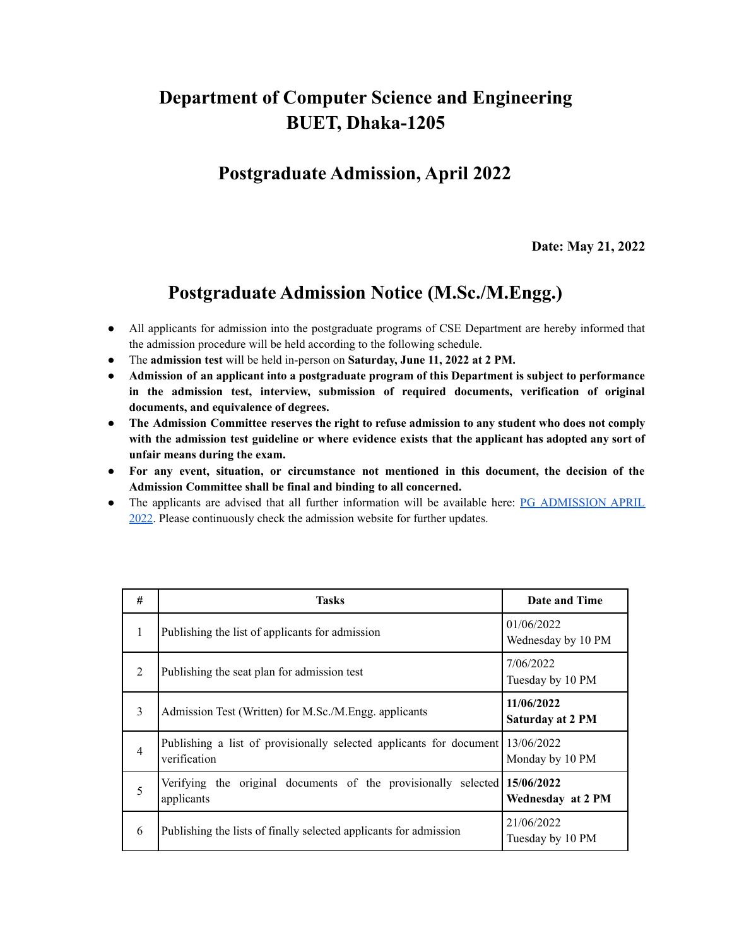## **Department of Computer Science and Engineering BUET, Dhaka-1205**

## **Postgraduate Admission, April 2022**

**Date: May 21, 2022**

## **Postgraduate Admission Notice (M.Sc./M.Engg.)**

- All applicants for admission into the postgraduate programs of CSE Department are hereby informed that the admission procedure will be held according to the following schedule.
- The **admission test** will be held in-person on **Saturday, June 11, 2022 at 2 PM.**
- **Admission of an applicant into a postgraduate program of this Department is subject to performance in the admission test, interview, submission of required documents, verification of original documents, and equivalence of degrees.**
- **The Admission Committee reserves the right to refuse admission to any student who does not comply with the admission test guideline or where evidence exists that the applicant has adopted any sort of unfair means during the exam.**
- **For any event, situation, or circumstance not mentioned in this document, the decision of the Admission Committee shall be final and binding to all concerned.**
- The applicants are advised that all further information will be available here: PG [ADMISSION](https://cse.buet.ac.bd/home/news_detail/146) APRIL [2022.](https://cse.buet.ac.bd/home/news_detail/146) Please continuously check the admission website for further updates.

| # | Tasks                                                                                          | Date and Time                         |
|---|------------------------------------------------------------------------------------------------|---------------------------------------|
| 1 | Publishing the list of applicants for admission                                                | 01/06/2022<br>Wednesday by 10 PM      |
| 2 | Publishing the seat plan for admission test                                                    | 7/06/2022<br>Tuesday by 10 PM         |
| 3 | Admission Test (Written) for M.Sc./M.Engg. applicants                                          | 11/06/2022<br><b>Saturday at 2 PM</b> |
| 4 | Publishing a list of provisionally selected applicants for document 13/06/2022<br>verification | Monday by 10 PM                       |
| 5 | Verifying the original documents of the provisionally selected $15/06/2022$<br>applicants      | Wednesday at 2 PM                     |
| 6 | Publishing the lists of finally selected applicants for admission                              | 21/06/2022<br>Tuesday by 10 PM        |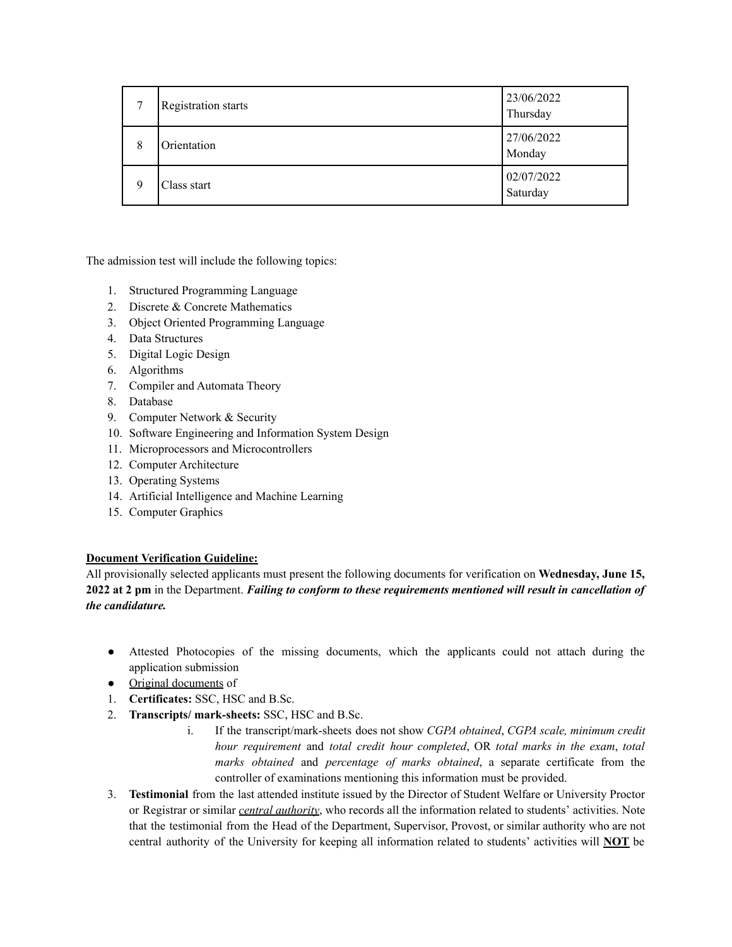| ⇁ | <b>Registration starts</b> | 23/06/2022<br>Thursday |
|---|----------------------------|------------------------|
| 8 | Orientation                | 27/06/2022<br>Monday   |
| 9 | Class start                | 02/07/2022<br>Saturday |

The admission test will include the following topics:

- 1. Structured Programming Language
- 2. Discrete & Concrete Mathematics
- 3. Object Oriented Programming Language
- 4. Data Structures
- 5. Digital Logic Design
- 6. Algorithms
- 7. Compiler and Automata Theory
- 8. Database
- 9. Computer Network & Security
- 10. Software Engineering and Information System Design
- 11. Microprocessors and Microcontrollers
- 12. Computer Architecture
- 13. Operating Systems
- 14. Artificial Intelligence and Machine Learning
- 15. Computer Graphics

## **Document Verification Guideline:**

All provisionally selected applicants must present the following documents for verification on **Wednesday, June 15,** 2022 at 2 pm in the Department. Failing to conform to these requirements mentioned will result in cancellation of *the candidature.*

- Attested Photocopies of the missing documents, which the applicants could not attach during the application submission
- Original documents of
- 1. **Certificates:** SSC, HSC and B.Sc.
- 2. **Transcripts/ mark-sheets:** SSC, HSC and B.Sc.
	- i. If the transcript/mark-sheets does not show *CGPA obtained*, *CGPA scale, minimum credit hour requirement* and *total credit hour completed*, OR *total marks in the exam*, *total marks obtained* and *percentage of marks obtained*, a separate certificate from the controller of examinations mentioning this information must be provided.
- 3. **Testimonial** from the last attended institute issued by the Director of Student Welfare or University Proctor or Registrar or similar *central authority*, who records all the information related to students' activities. Note that the testimonial from the Head of the Department, Supervisor, Provost, or similar authority who are not central authority of the University for keeping all information related to students' activities will **NOT** be